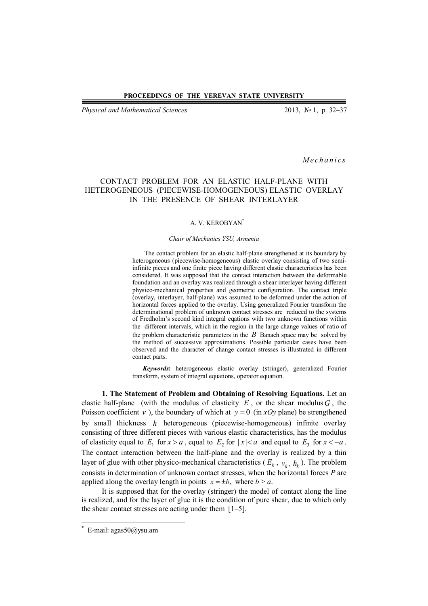*Physical and Mathematical Sciences* 2013, № 1, p. 32–37

*Me ch a n i cs*

## CONTACT PROBLEM FOR AN ELASTIC HALF-PLANE WITH HETEROGENEOUS (PIECEWISE-HOMOGENEOUS) ELASTIC OVERLAY IN THE PRESENCE OF SHEAR INTERLAYER

## A. V. KEROBYAN\*

## *Chair of Mechanics YSU, Armenia*

The contact problem for an elastic half-plane strengthened at its boundary by heterogeneous (piecewise-homogeneous) elastic overlay consisting of two semiinfinite pieces and one finite piece having different elastic characteristics has been considered. It was supposed that the contact interaction between the deformable foundation and an overlay was realized through a shear interlayer having different physico-mechanical properties and geometric configuration. The contact triple (overlay, interlayer, half-plane) was assumed to be deformed under the action of horizontal forces applied to the overlay. Using generalized Fourier transform the determinational problem of unknown contact stresses are reduced to the systems of Fredholm's second kind integral eqations with two unknown functions within the different intervals, which in the region in the large change values of ratio of the problem characteristic parameters in the  $B$  Banach space may be solved by the method of successive approximations. Possible particular cases have been observed and the character of change contact stresses is illustrated in different contact parts.

*Keywords***:** heterogeneous elastic overlay (stringer), generalized Fourier transform, system of integral equations, operator equation.

**1. The Statement of Problem and Obtaining of Resolving Equations.** Let an elastic half-plane (with the modulus of elasticity  $E$ , or the shear modulus  $G$ , the Poisson coefficient  $\nu$ ), the boundary of which at  $y = 0$  (in *xOy* plane) be strengthened by small thickness *h* heterogeneous (piecewise-homogeneous) infinite overlay consisting of three different pieces with various elastic characteristics, has the modulus of elasticity equal to  $E_1$  for  $x > a$ , equal to  $E_2$  for  $|x| < a$  and equal to  $E_3$  for  $x < -a$ . The contact interaction between the half-plane and the overlay is realized by a thin layer of glue with other physico-mechanical characteristics ( $E_k$ ,  $v_k$ ,  $h_k$ ). The problem consists in determination of unknown contact stresses, when the horizontal forces *P* are applied along the overlay length in points  $x = \pm b$ , where  $b > a$ .

It is supposed that for the overlay (stringer) the model of contact along the line is realized, and for the layer of glue it is the condition of pure shear, due to which only the shear contact stresses are acting under them [1–5].

 $\overline{\phantom{a}}$ 

<sup>\*</sup> E-mail: agas50@ysu.am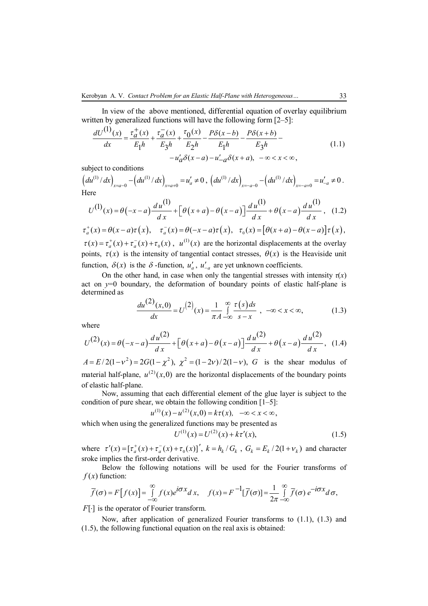In view of the above mentioned, differential equation of overlay equilibrium written by generalized functions will have the following form [2–5]:

$$
\frac{dU^{(1)}(x)}{dx} = \frac{\tau_a^+(x)}{E_1h} + \frac{\tau_a^-(x)}{E_3h} + \frac{\tau_0(x)}{E_2h} - \frac{P\delta(x-b)}{E_1h} - \frac{P\delta(x+b)}{E_3h} - \cdots -u'_a\delta(x-a) - u'_{-a}\delta(x+a), \quad -\infty < x < \infty,
$$
\n(1.1)

subject to conditions

$$
\left(du^{(1)}/dx\right)_{x=a-0} - \left(du^{(1)}/dx\right)_{x=a+0} = u'_a \neq 0,\\ \left(du^{(1)}/dx\right)_{x=-a-0} - \left(du^{(1)}/dx\right)_{x=-a+0} = u'_{-a} \neq 0.
$$
\nHere

$$
U^{(1)}(x) = \theta(-x-a)\frac{du^{(1)}}{dx} + \left[\theta(x+a) - \theta(x-a)\right]\frac{du^{(1)}}{dx} + \theta(x-a)\frac{du^{(1)}}{dx}, \quad (1.2)
$$

$$
\tau_a^+(x) = \theta(x-a)\tau(x), \quad \tau_a^-(x) = \theta(-x-a)\tau(x), \quad \tau_0(x) = \left[\theta(x+a) - \theta(x-a)\right]\tau(x),
$$
  
\n
$$
\tau(x) = \tau_a^+(x) + \tau_a^-(x) + \tau_0(x), \quad u^{(1)}(x)
$$
 are the horizontal displacements at the overlap points,  $\tau(x)$  is the intensity of tangential contact stresses,  $\theta(x)$  is the Heaviside unit

function,  $\delta(x)$  is the  $\delta$ -function,  $u'_a$ ,  $u'_{-a}$  are yet unknown coefficients.

On the other hand, in case when only the tangential stresses with intensity  $\tau(x)$ act on  $y=0$  boundary, the deformation of boundary points of elastic half-plane is determined as

$$
\frac{du^{(2)}(x,0)}{dx} = U^{(2)}(x) = \frac{1}{\pi A} \int_{-\infty}^{\infty} \frac{\tau(s)ds}{s-x} , -\infty < x < \infty,
$$
 (1.3)

where

$$
U^{(2)}(x) = \theta(-x-a)\frac{du^{(2)}}{dx} + \left[\theta(x+a) - \theta(x-a)\right]\frac{du^{(2)}}{dx} + \theta(x-a)\frac{du^{(2)}}{dx}, \quad (1.4)
$$

 $A = E/2(1 - v^2) = 2G(1 - \chi^2)$ ,  $\chi^2 = (1 - 2v)/2(1 - v)$ , *G* is the shear modulus of material half-plane,  $u^{(2)}(x,0)$  are the horizontal displacements of the boundary points of elastic half-plane.

Now, assuming that each differential element of the glue layer is subject to the condition of pure shear, we obtain the following condition [1–5]:

$$
u^{(1)}(x) - u^{(2)}(x,0) = k\tau(x), \quad -\infty < x < \infty
$$

which when using the generalized functions may be presented as

$$
U^{(1)}(x) = U^{(2)}(x) + k\tau'(x),\tag{1.5}
$$

where  $\tau'(x) = [\tau_a^+(x) + \tau_a^-(x) + \tau_0^-(x)]'$ ,  $k = h_k / G_k$ ,  $G_k = E_k / 2(1 + v_k)$  and character sroke implies the first-order derivative.

Below the following notations will be used for the Fourier transforms of  $f(x)$  function:

$$
\overline{f}(\sigma) = F[f(x)] = \int_{-\infty}^{\infty} f(x)e^{i\sigma x} dx, \quad f(x) = F^{-1}[\overline{f}(\sigma)] = \frac{1}{2\pi} \int_{-\infty}^{\infty} \overline{f}(\sigma) e^{-i\sigma x} d\sigma,
$$

 $F[\cdot]$  is the operator of Fourier transform.

Now, after application of generalized Fourier transforms to (1.1), (1.3) and (1.5), the following functional equation on the real axis is obtained: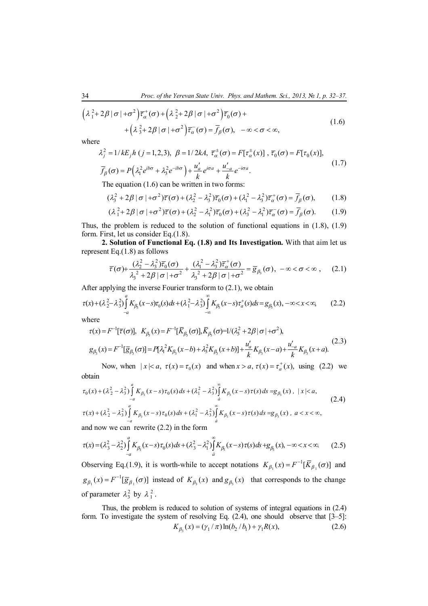$$
\left(\lambda_1^2 + 2\beta |\sigma| + \sigma^2\right) \overline{\tau}_\alpha^+ (\sigma) + \left(\lambda_2^2 + 2\beta |\sigma| + \sigma^2\right) \overline{\tau}_0 (\sigma) + \\ \left(\lambda_3^2 + 2\beta |\sigma| + \sigma^2\right) \overline{\tau}_\alpha^-(\sigma) = \overline{f}_\beta(\sigma), \quad -\infty < \sigma < \infty,
$$
\n1.6)

where

$$
\lambda_j^2 = 1/kE_j h (j=1,2,3), \ \beta = 1/2kA, \ \overline{\tau}_\alpha^{\pm}(\sigma) = F[\tau_\alpha^{\pm}(x)], \ \overline{\tau}_0(\sigma) = F[\tau_0(x)],
$$

$$
\overline{f}_\beta(\sigma) = P(\lambda_1^2 e^{i b \sigma} + \lambda_3^2 e^{-i b \sigma}) + \frac{u'_a}{k} e^{i \sigma a} + \frac{u'_{-a}}{k} e^{-i \sigma a}.
$$
 (1.7)

The equation (1.6) can be written in two forms:

$$
(\lambda_3^2 + 2\beta \mid \sigma \mid +\sigma^2)\overline{\tau}(\sigma) + (\lambda_2^2 - \lambda_3^2)\overline{\tau}_0(\sigma) + (\lambda_1^2 - \lambda_3^2)\overline{\tau}_\alpha^+(\sigma) = \overline{f}_\beta(\sigma), \qquad (1.8)
$$

$$
(\lambda_1^2 + 2\beta \mid \sigma \mid +\sigma^2)\overline{r}(\sigma) + (\lambda_2^2 - \lambda_1^2)\overline{r}_0(\sigma) + (\lambda_3^2 - \lambda_1^2)\overline{r}_\alpha(\sigma) = \overline{f}_\beta(\sigma).
$$
 (1.9)

Thus, the problem is reduced to the solution of functional equations in (1.8), (1.9) form. First, let us consider Eq.(1.8).

**2. Solution of Functional Eq. (1.8) and Its Investigation.** With that aim let us represent Eq.(1.8) as follows

$$
\overline{\tau}(\sigma) + \frac{(\lambda_2^2 - \lambda_3^2)\overline{r}_0(\sigma)}{\lambda_3^2 + 2\beta |\sigma| + \sigma^2} + \frac{(\lambda_1^2 - \lambda_3^2)\overline{r}_\alpha^+(\sigma)}{\lambda_3^2 + 2\beta |\sigma| + \sigma^2} = \overline{g}_{\beta_3}(\sigma), -\infty < \sigma < \infty ,\quad (2.1)
$$

After applying the inverse Fourier transform to (2.1), we obtain

$$
\tau(x) + (\lambda_2^2 - \lambda_3^2) \int_{-a}^{a} K_{\beta_3}(x - s) \tau_0(s) ds + (\lambda_1^2 - \lambda_3^2) \int_{-\infty}^{\infty} K_{\beta_3}(x - s) \tau_a^+(s) ds = g_{\beta_3}(x), -\infty < x < \infty,
$$
 (2.2)

where

$$
\tau(x) = F^{-1}[\bar{\tau}(\sigma)], \quad K_{\beta_3}(x) = F^{-1}[\bar{K}_{\beta_3}(\sigma)], \quad \bar{K}_{\beta_3}(\sigma) = 1/(\lambda_3^2 + 2\beta |\sigma| + \sigma^2),
$$
\n
$$
g_{\beta_3}(x) = F^{-1}[\bar{g}_{\beta_3}(\sigma)] = P[\lambda_1^2 K_{\beta_3}(x - b) + \lambda_3^2 K_{\beta_3}(x + b)] + \frac{u_a'}{k} K_{\beta_3}(x - a) + \frac{u_{-a}'}{k} K_{\beta_3}(x + a). \tag{2.3}
$$

Now, when  $|x| < a$ ,  $\tau(x) = \tau_0(x)$  and when  $x > a$ ,  $\tau(x) = \tau_a^+(x)$ , using (2.2) we obtain

$$
\tau_{0}(x) + (\lambda_{2}^{2} - \lambda_{3}^{2}) \int_{-a}^{a} K_{\beta_{3}}(x-s) \tau_{0}(s) ds + (\lambda_{1}^{2} - \lambda_{3}^{2}) \int_{a}^{\infty} K_{\beta_{3}}(x-s) \tau(s) ds = g_{\beta_{3}}(x), \ |x| < a,
$$
\n
$$
\tau(x) + (\lambda_{2}^{2} - \lambda_{3}^{2}) \int_{-a}^{a} K_{\beta_{3}}(x-s) \tau_{0}(s) ds + (\lambda_{1}^{2} - \lambda_{3}^{2}) \int_{a}^{\infty} K_{\beta_{3}}(x-s) \tau(s) ds = g_{\beta_{3}}(x), \ a < x < \infty,
$$
\n(2.4)

and now we can rewrite (2.2) in the form

$$
\tau(x) = (\lambda_3^2 - \lambda_2^2) \int_{-a}^{a} K_{\beta_3}(x-s) \tau_0(s) ds + (\lambda_3^2 - \lambda_1^2) \int_{a}^{\infty} K_{\beta_3}(x-s) \tau(s) ds + g_{\beta_3}(x), \quad -\infty < x < \infty. \tag{2.5}
$$

Observing Eq.(1.9), it is worth-while to accept notations  $K_{\beta_1}(x) = F^{-1}[\overline{K}_{\beta_1}(\sigma)]$  and  $1 \cdot 7$   $\omega p_1$  $g_{\beta_1}(x) = F^{-1}[\overline{g}_{\beta_1}(\sigma)]$  instead of  $K_{\beta_3}(x)$  and  $g_{\beta_3}(x)$  that corresponds to the change of parameter  $\lambda_3^2$  by  $\lambda_1^2$ .

Thus, the problem is reduced to solution of systems of integral equations in (2.4) form. To investigate the system of resolving Eq.  $(2.4)$ , one should observe that  $[3-5]$ :  $K_{\beta_3}(x) = (\gamma_1 / \pi) \ln(b_2 / b_1) + \gamma_1 R(x),$  (2.6)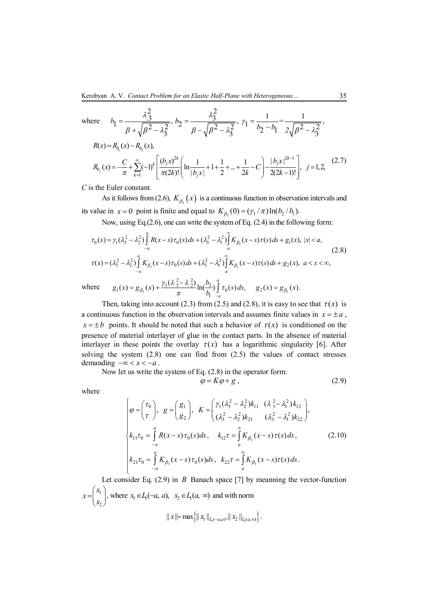where 
$$
b_1 = \frac{\lambda_3^2}{\beta + \sqrt{\beta^2 - \lambda_3^2}}, b_2 = \frac{\lambda_3^2}{\beta - \sqrt{\beta^2 - \lambda_3^2}}, \gamma_1 = \frac{1}{b_2 - b_1} = \frac{1}{2\sqrt{\beta^2 - \lambda_3^2}},
$$

$$
R(x) = R_{b_1}(x) - R_{b_2}(x),
$$
  
\n
$$
R_{b_j}(x) = -\frac{C}{\pi} + \sum_{k=1}^{\infty} (-1)^k \left[ \frac{(b_j x)^{2k}}{\pi (2k)!} \left( \ln \frac{1}{|b_j x|} + 1 + \frac{1}{2} + \dots + \frac{1}{2k} - C \right) - \frac{|b_j x|^{2k-1}}{2(2k-1)!} \right], \quad j = 1, 2,
$$
\n(2.7)

*C* is the Euler constant.

As it follows from (2.6),  $K_{\beta_3}(x)$  is a continuous function in observation intervals and its value in  $x = 0$  point is finite and equal to  $K_{\beta_3}(0) = (\gamma_1 / \pi) \ln(b_2 / b_1)$ .

Now, using Eq.(2.6), one can write the system of Eq. (2.4) in the following form:

$$
\tau_0(x) = \gamma_1(\lambda_3^2 - \lambda_2^2) \int_{-a}^{a} R(x - s) \tau_0(s) ds + (\lambda_3^2 - \lambda_1^2) \int_{a}^{\infty} K_{\beta_3}(x - s) \tau(s) ds + g_1(x), |x| < a,
$$
  
\n
$$
\tau(x) = (\lambda_3^2 - \lambda_2^2) \int_{-a}^{a} K_{\beta_3}(x - s) \tau_0(s) ds + (\lambda_3^2 - \lambda_1^2) \int_{a}^{\infty} K_{\beta_3}(x - s) \tau(s) ds + g_2(x), a < x < \infty,
$$
  
\n
$$
g_1(x) = g_{\beta_3}(x) + \frac{\gamma_1(\lambda_3^2 - \lambda_2^2)}{\pi} \ln(\frac{b_2}{b_1} \int_{-a}^{a} \tau_0(s) ds, g_2(x) = g_{\beta_3}(x).
$$
\n(2.8)

 $\pi$   $\mu$   $\mu$   $\sigma$   $\sigma$   $\mu$ 

*a*

where

Then, taking into account (2.3) from (2.5) and (2.8), it is easy to see that  $\tau(x)$  is a continuous function in the observation intervals and assumes finite values in  $x = \pm a$ ,  $x = \pm b$  points. It should be noted that such a behavior of  $\tau(x)$  is conditioned on the presence of material interlayer of glue in the contact parts. In the absence of material interlayer in these points the overlay  $\tau(x)$  has a logarithmic singularity [6]. After solving the system  $(2.8)$  one can find from  $(2.5)$  the values of contact stresses demanding  $-\infty < x < -a$ .

Now let us write the system of Eq. (2.8) in the operator form:

$$
\varphi = K\varphi + g \,, \tag{2.9}
$$

where

$$
\begin{cases}\n\varphi = \begin{pmatrix} \tau_0 \\ \tau \end{pmatrix}, \quad g = \begin{pmatrix} g_1 \\ g_2 \end{pmatrix}, \quad K = \begin{pmatrix} \gamma_1 (\lambda_3^2 - \lambda_2^2) k_{11} & (\lambda_3^2 - \lambda_1^2) k_{12} \\ (\lambda_3^2 - \lambda_2^2) k_{21} & (\lambda_3^2 - \lambda_1^2) k_{22} \end{pmatrix}, \\
k_{11} \tau_0 = \int_{-a}^{a} R(x - s) \tau_0(s) ds, \quad k_{12} \tau = \int_{a}^{\infty} K_{\beta_3}(x - s) \tau(s) ds, \\
k_{21} \tau_0 = \int_{-a}^{a} K_{\beta_3}(x - s) \tau_0(s) ds, \quad k_{22} \tau = \int_{a}^{\infty} K_{\beta_3}(x - s) \tau(s) ds.\n\end{cases} (2.10)
$$

Let consider Eq. (2.9) in *B* Banach space [7] by meanning the vector-function 1 2 *x x x*  $=\begin{pmatrix} x_1 \ x_2 \end{pmatrix}$ , where  $x_1 \in L_1(-a, a)$ ,  $x_2 \in L_1(a, \infty)$  and with norm  $||x|| = \max\{||x_1||_{L(-a,a)}, ||x_2||_{L(a,a)}\}.$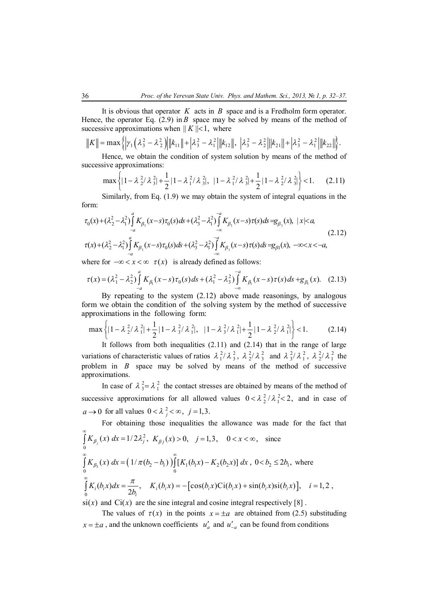It is obvious that operator *K* acts in *B* space and is a Fredholm form operator. Hence, the operator Eq.  $(2.9)$  in *B* space may be solved by means of the method of successive approximations when  $|| K ||<1$ , where

$$
||K|| = \max \left\{ \left| \gamma_1 \left( \lambda_3^2 - \lambda_2^2 \right) \right| ||k_{11}|| + \left| \lambda_3^2 - \lambda_1^2 \right| ||k_{12}||, \left| \lambda_3^2 - \lambda_2^2 \right| ||k_{21}|| + \left| \lambda_3^2 - \lambda_1^2 \right| ||k_{22}|| \right\}.
$$

Hence, we obtain the condition of system solution by means of the method of successive approximations:

$$
\max\left\{\left|1-\lambda_{2}^{2}/\lambda_{3}^{2}\right|+\frac{1}{2}\left|1-\lambda_{1}^{2}/\lambda_{3}^{2}\right|,\ \left|1-\lambda_{1}^{2}/\lambda_{3}^{2}\right|+\frac{1}{2}\left|1-\lambda_{2}^{2}/\lambda_{3}^{2}\right|\right\}<1.\tag{2.11}
$$

Similarly, from Eq. (1.9) we may obtain the system of integral equations in the form:

$$
\tau_0(x) + (\lambda_2^2 - \lambda_1^2) \int_{-a}^{a} K_{\beta_1}(x-s) \tau_0(s) ds + (\lambda_3^2 - \lambda_1^2) \int_{-\infty}^{-a} K_{\beta_1}(x-s) \tau(s) ds = g_{\beta_1}(x), \ |x| < a
$$
\n
$$
\tau(x) + (\lambda_2^2 - \lambda_1^2) \int_{-a}^{a} K_{\beta_1}(x-s) \tau_0(s) ds + (\lambda_3^2 - \lambda_1^2) \int_{-\infty}^{-a} K_{\beta_1}(x-s) \tau(s) ds = g_{\beta_1}(x), \ -\infty < x < -a,
$$
\n(2.12)

where for  $-\infty < x < \infty$   $\tau(x)$  is already defined as follows:

$$
\tau(x) = (\lambda_1^2 - \lambda_2^2) \int_{-a}^{a} K_{\beta_1}(x - s) \tau_0(s) ds + (\lambda_1^2 - \lambda_3^2) \int_{-\infty}^{-a} K_{\beta_1}(x - s) \tau(s) ds + g_{\beta_1}(x).
$$
 (2.13)

By repeating to the system (2.12) above made reasonings, by analogous form we obtain the condition of the solving system by the method of successive approximations in the following form:

$$
\max\left\{\left|1-\lambda_{2}^{2}/\lambda_{1}^{2}\right|+\frac{1}{2}\left|1-\lambda_{3}^{2}/\lambda_{1}^{2}\right|,\ \ \left|1-\lambda_{3}^{2}/\lambda_{1}^{2}\right|+\frac{1}{2}\left|1-\lambda_{2}^{2}/\lambda_{1}^{2}\right|\right\}<1.\tag{2.14}
$$

It follows from both inequalities  $(2.11)$  and  $(2.14)$  that in the range of large variations of characteristic values of ratios  $\lambda_1^2/\lambda_3^2$ ,  $\lambda_2^2/\lambda_3^2$  and  $\lambda_3^2/\lambda_1^2$ ,  $\lambda_2^2/\lambda_1^2$  the problem in *B* space may be solved by means of the method of successive approximations.

In case of  $\lambda_3^2 = \lambda_1^2$  the contact stresses are obtained by means of the method of successive approximations for all allowed values  $0 < \lambda_2^2 / \lambda_1^2 < 2$ , and in case of  $a \rightarrow 0$  for all values  $0 < \lambda_j^2 < \infty$ ,  $j = 1,3$ .

For obtaining those inequalities the allowance was made for the fact that  
\n
$$
\int_{0}^{\infty} K_{\beta_j}(x) dx = 1/2\lambda_j^2, K_{\beta_j}(x) > 0, j = 1, 3, 0 < x < \infty
$$
, since  
\n
$$
\int_{0}^{\infty} K_{\beta_3}(x) dx = (1/\pi(b_2 - b_1)) \int_{0}^{\infty} [K_1(b_1x) - K_2(b_2x)] dx, 0 < b_2 \le 2b_1
$$
, where  
\n
$$
\int_{0}^{\infty} K_i(b_i x) dx = \frac{\pi}{2b_i}, K_i(b_i x) = -[\cos(b_i x) \text{Ci}(b_i x) + \sin(b_i x) \text{Si}(b_i x)], i = 1, 2,
$$

 $\sin(x)$  and  $\sin(x)$  are the sine integral and cosine integral respectively [8].

The values of  $\tau(x)$  in the points  $x = \pm a$  are obtained from (2.5) substituding  $x = \pm a$ , and the unknown coefficients  $u'_a$  and  $u'_{-a}$  can be found from conditions